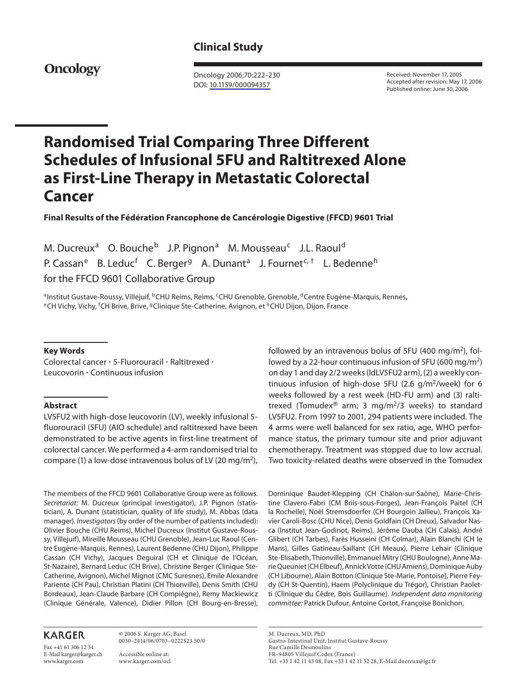# **Clinical Study**

**Oncology**

 Oncology 2006;70:222–230 DOI: [10.1159/000094357](http://dx.doi.org/10.1159%2F000094357)

 Received: November 17, 2005 Accepted after revision: May 17, 2006 Published online: June 30, 2006

# **Randomised Trial Comparing Three Different Schedules of Infusional 5FU and Raltitrexed Alone as First-Line Therapy in Metastatic Colorectal Cancer**

 **Final Results of the Fédération Francophone de Cancérologie Digestive (FFCD) 9601 Trial** 

M. Ducreux<sup>a</sup> O. Bouche<sup>b</sup> J.P. Pignon<sup>a</sup> M. Mousseau<sup>c</sup> J.L. Raoul<sup>d</sup> P. Cassan<sup>e</sup> B. Leduc<sup>f</sup> C. Berger<sup>g</sup> A. Dunant<sup>a</sup> J. Fournet<sup>c, †</sup> L. Bedenne<sup>h</sup> for the FFCD 9601 Collaborative Group

<sup>a</sup>Institut Gustave-Roussy, Villejuif, <sup>b</sup>CHU Reims, Reims, <sup>c</sup>CHU Grenoble, Grenoble, <sup>d</sup>Centre Eugène-Marquis, Rennes,<br><sup>e</sup>CH Vichy, Vichy, <sup>f</sup>CH Brive, Brive, <sup>g</sup>Clinique Ste-Catherine, Avignon, et <sup>h</sup>CHU Dijon, Dijon, F <sup>e</sup>CH Vichy, Vichy, <sup>f</sup>CH Brive, Brive, <sup>g</sup>Clinique Ste-Catherine, Avignon, et <sup>h</sup>CHU Dijon, Dijon, France

#### **Key Words**

Colorectal cancer  $\cdot$  5-Fluorouracil  $\cdot$  Raltitrexed  $\cdot$ Leucovorin · Continuous infusion

## **Abstract**

 LV5FU2 with high-dose leucovorin (LV), weekly infusional 5 fluorouracil (5FU) (AIO schedule) and raltitrexed have been demonstrated to be active agents in first-line treatment of colorectal cancer. We performed a 4-arm randomised trial to compare (1) a low-dose intravenous bolus of LV (20 mg/m<sup>2</sup>),

 The members of the FFCD 9601 Collaborative Group were as follows. Secretariat: M. Ducreux (principal investigator), J.P. Pignon (statistician), A. Dunant (statistician, quality of life study), M. Abbas (data manager). Investigators (by order of the number of patients included): Olivier Bouche (CHU Reims), Michel Ducreux (Institut Gustave-Roussy, Villejuif), Mireille Mousseau (CHU Grenoble), Jean-Luc Raoul (Centre Eugène-Marquis, Rennes), Laurent Bedenne (CHU Dijon), Philippe Cassan (CH Vichy), Jacques Deguiral (CH et Clinique de l'Océan, St-Nazaire), Bernard Leduc (CH Brive), Christine Berger (Clinique Ste-Catherine, Avignon), Michel Mignot (CMC Suresnes), Emile Alexandre Pariente (CH Pau), Christian Platini (CH Thionville), Denis Smith (CHU Bordeaux), Jean-Claude Barbare (CH Compiègne), Remy Mackiewicz (Clinique Générale, Valence), Didier Pillon (CH Bourg-en-Bresse),

## **KARGER**

Fax +41 61 306 12 34 E-Mail karger@karger.ch www.karger.com

 © 2006 S. Karger AG, Basel 0030–2414/06/0703–0222\$23.50/0

 Accessible online at: www.karger.com/ocl followed by an intravenous bolus of 5FU (400 mg/m<sup>2</sup>), followed by a 22-hour continuous infusion of 5FU (600 mg/m<sup>2</sup>) on day 1 and day 2/2 weeks (ldLV5FU2 arm), (2) a weekly continuous infusion of high-dose 5FU (2.6  $g/m^2$ /week) for 6 weeks followed by a rest week (HD-FU arm) and (3) raltitrexed (Tomudex<sup>®</sup> arm; 3 mg/m<sup>2</sup>/3 weeks) to standard LV5FU2. From 1997 to 2001, 294 patients were included. The 4 arms were well balanced for sex ratio, age, WHO performance status, the primary tumour site and prior adjuvant chemotherapy. Treatment was stopped due to low accrual. Two toxicity-related deaths were observed in the Tomudex

Dominique Baudet-Klepping (CH Châlon-sur-Saône), Marie-Christine Clavero-Fabri (CM Briis-sous-Forges), Jean-François Paitel (CH la Rochelle), Noël Stremsdoerfer (CH Bourgoin Jallieu), François Xavier Caroli-Bosc (CHU Nice), Denis Goldfain (CH Dreux), Salvador Nasca (Institut Jean-Godinot, Reims), Jérôme Dauba (CH Calais), André Glibert (CH Tarbes), Farès Husseini (CH Colmar), Alain Blanchi (CH le Mans), Gilles Gatineau-Saillant (CH Meaux), Pierre Lehair (Clinique Ste-Elisabeth, Thionville), Emmanuel Mitry (CHU Boulogne), Anne Marie Queuniet (CH Elbeuf), Annick Votte (CHU Amiens), Dominique Auby (CH Libourne), Alain Botton (Clinique Ste-Marie, Pontoise), Pierre Feydy (CH St-Quentin), Haem (Polyclinique du Trégor), Christian Paoletti (Clinique du Cêdre, Bois Guillaume). Independent data monitoring committee: Patrick Dufour, Antoine Cortot, Françoise Bonichon.

 M. Ducreux, MD, PhD Gastro-Intestinal Unit, Institut Gustave-Roussy Rue Camille Desmoulins FR–94805 Villejuif Cedex (France) Tel. +33 1 42 11 43 08, Fax +33 1 42 11 52 28, E-Mail ducreux@igr.fr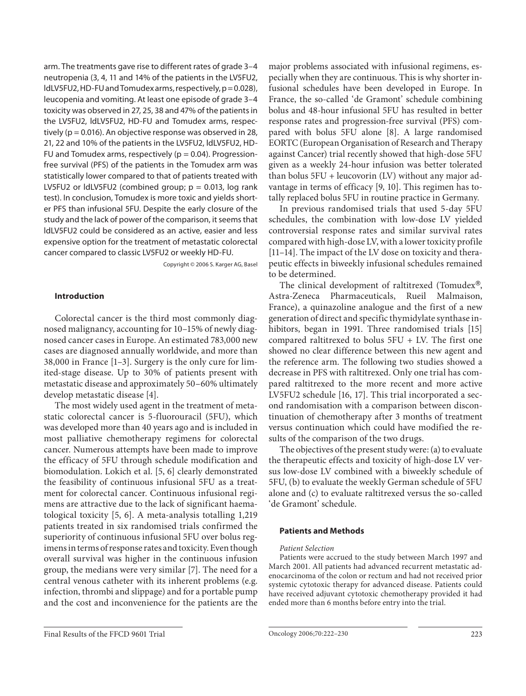arm. The treatments gave rise to different rates of grade 3–4 neutropenia (3, 4, 11 and 14% of the patients in the LV5FU2, ldLV5FU2, HD-FU and Tomudex arms, respectively, p = 0.028), leucopenia and vomiting. At least one episode of grade 3–4 toxicity was observed in 27, 25, 38 and 47% of the patients in the LV5FU2, ldLV5FU2, HD-FU and Tomudex arms, respectively ( $p = 0.016$ ). An objective response was observed in 28, 21, 22 and 10% of the patients in the LV5FU2, ldLV5FU2, HD-FU and Tomudex arms, respectively ( $p = 0.04$ ). Progressionfree survival (PFS) of the patients in the Tomudex arm was statistically lower compared to that of patients treated with LV5FU2 or  $ldLV5FU2$  (combined group;  $p = 0.013$ , log rank test). In conclusion, Tomudex is more toxic and yields shorter PFS than infusional 5FU. Despite the early closure of the study and the lack of power of the comparison, it seems that ldLV5FU2 could be considered as an active, easier and less expensive option for the treatment of metastatic colorectal cancer compared to classic LV5FU2 or weekly HD-FU.

Copyright © 2006 S. Karger AG, Basel

## **Introduction**

 Colorectal cancer is the third most commonly diagnosed malignancy, accounting for 10–15% of newly diagnosed cancer cases in Europe. An estimated 783,000 new cases are diagnosed annually worldwide, and more than  $38,000$  in France  $[1-3]$ . Surgery is the only cure for limited-stage disease. Up to 30% of patients present with metastatic disease and approximately 50–60% ultimately develop metastatic disease [4].

 The most widely used agent in the treatment of metastatic colorectal cancer is 5-fluorouracil (5FU), which was developed more than 40 years ago and is included in most palliative chemotherapy regimens for colorectal cancer. Numerous attempts have been made to improve the efficacy of 5FU through schedule modification and biomodulation. Lokich et al. [5, 6] clearly demonstrated the feasibility of continuous infusional 5FU as a treatment for colorectal cancer. Continuous infusional regimens are attractive due to the lack of significant haematological toxicity  $[5, 6]$ . A meta-analysis totalling 1,219 patients treated in six randomised trials confirmed the superiority of continuous infusional 5FU over bolus regimens in terms of response rates and toxicity. Even though overall survival was higher in the continuous infusion group, the medians were very similar [7] . The need for a central venous catheter with its inherent problems (e.g. infection, thrombi and slippage) and for a portable pump and the cost and inconvenience for the patients are the

major problems associated with infusional regimens, especially when they are continuous. This is why shorter infusional schedules have been developed in Europe. In France, the so-called 'de Gramont' schedule combining bolus and 48-hour infusional 5FU has resulted in better response rates and progression-free survival (PFS) compared with bolus 5FU alone [8]. A large randomised EORTC (European Organisation of Research and Therapy against Cancer) trial recently showed that high-dose 5FU given as a weekly 24-hour infusion was better tolerated than bolus 5FU + leucovorin (LV) without any major advantage in terms of efficacy [9, 10]. This regimen has totally replaced bolus 5FU in routine practice in Germany.

 In previous randomised trials that used 5-day 5FU schedules, the combination with low-dose LV yielded controversial response rates and similar survival rates compared with high-dose LV, with a lower toxicity profile [11-14]. The impact of the LV dose on toxicity and therapeutic effects in biweekly infusional schedules remained to be determined.

The clinical development of raltitrexed (Tomudex<sup>®</sup>, Astra-Zeneca Pharmaceuticals, Rueil Malmaison, France), a quinazoline analogue and the first of a new generation of direct and specific thymidylate synthase inhibitors, began in 1991. Three randomised trials [15] compared raltitrexed to bolus 5FU + LV. The first one showed no clear difference between this new agent and the reference arm. The following two studies showed a decrease in PFS with raltitrexed. Only one trial has compared raltitrexed to the more recent and more active LV5FU2 schedule [16, 17]. This trial incorporated a second randomisation with a comparison between discontinuation of chemotherapy after 3 months of treatment versus continuation which could have modified the results of the comparison of the two drugs.

 The objectives of the present study were: (a) to evaluate the therapeutic effects and toxicity of high-dose LV versus low-dose LV combined with a biweekly schedule of 5FU, (b) to evaluate the weekly German schedule of 5FU alone and (c) to evaluate raltitrexed versus the so-called 'de Gramont' schedule.

#### **Patients and Methods**

#### *Patient Selection*

 Patients were accrued to the study between March 1997 and March 2001. All patients had advanced recurrent metastatic adenocarcinoma of the colon or rectum and had not received prior systemic cytotoxic therapy for advanced disease. Patients could have received adjuvant cytotoxic chemotherapy provided it had ended more than 6 months before entry into the trial.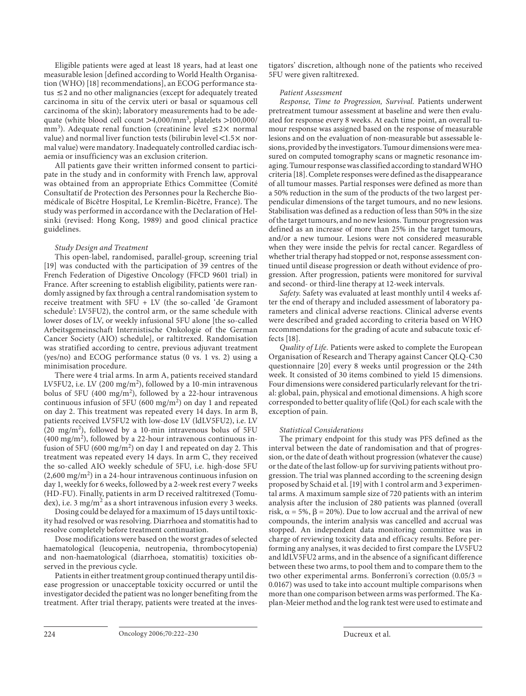Eligible patients were aged at least 18 years, had at least one measurable lesion [defined according to World Health Organisation (WHO) [18] recommendations], an ECOG performance status  $\leq$  2 and no other malignancies (except for adequately treated carcinoma in situ of the cervix uteri or basal or squamous cell carcinoma of the skin); laboratory measurements had to be adequate (white blood cell count  $>4,000/\text{mm}^3$ , platelets  $>100,000/$ mm<sup>3</sup>). Adequate renal function (creatinine level  $\leq 2 \times$  normal value) and normal liver function tests (bilirubin level  $<$ 1.5 $\times$  normal value) were mandatory. Inadequately controlled cardiac ischaemia or insufficiency was an exclusion criterion.

 All patients gave their written informed consent to participate in the study and in conformity with French law, approval was obtained from an appropriate Ethics Committee (Comité Consultatif de Protection des Personnes pour la Recherche Biomédicale of Bicêtre Hospital, Le Kremlin-Bicêtre, France). The study was performed in accordance with the Declaration of Helsinki (revised: Hong Kong, 1989) and good clinical practice guidelines.

#### *Study Design and Treatment*

 This open-label, randomised, parallel-group, screening trial [19] was conducted with the participation of 39 centres of the French Federation of Digestive Oncology (FFCD 9601 trial) in France. After screening to establish eligibility, patients were randomly assigned by fax through a central randomisation system to receive treatment with 5FU + LV (the so-called 'de Gramont schedule': LV5FU2), the control arm, or the same schedule with lower doses of LV, or weekly infusional 5FU alone [the so-called Arbeitsgemeinschaft Internistische Onkologie of the German Cancer Society (AIO) schedule], or raltitrexed. Randomisation was stratified according to centre, previous adjuvant treatment (yes/no) and ECOG performance status (0 vs. 1 vs. 2) using a minimisation procedure.

 There were 4 trial arms. In arm A, patients received standard LV5FU2, i.e. LV (200 mg/m<sup>2</sup>), followed by a 10-min intravenous bolus of 5FU (400 mg/m<sup>2</sup>), followed by a 22-hour intravenous continuous infusion of 5FU (600 mg/m<sup>2</sup>) on day 1 and repeated on day 2. This treatment was repeated every 14 days. In arm B, patients received LV5FU2 with low-dose LV (ldLV5FU2), i.e. LV  $(20 \text{ mg/m}^2)$ , followed by a 10-min intravenous bolus of 5FU  $(400 \text{ mg/m}^2)$ , followed by a 22-hour intravenous continuous infusion of 5FU (600 mg/m<sup>2</sup>) on day 1 and repeated on day 2. This treatment was repeated every 14 days. In arm C, they received the so-called AIO weekly schedule of 5FU, i.e. high-dose 5FU  $(2,600 \text{ mg/m}^2)$  in a 24-hour intravenous continuous infusion on day 1, weekly for 6 weeks, followed by a 2-week rest every 7 weeks (HD-FU). Finally, patients in arm D received raltitrexed (Tomudex), i.e. 3 mg/m<sup>2</sup> as a short intravenous infusion every 3 weeks.

 Dosing could be delayed for a maximum of 15 days until toxicity had resolved or was resolving. Diarrhoea and stomatitis had to resolve completely before treatment continuation.

 Dose modifications were based on the worst grades of selected haematological (leucopenia, neutropenia, thrombocytopenia) and non-haematological (diarrhoea, stomatitis) toxicities observed in the previous cycle.

 Patients in either treatment group continued therapy until disease progression or unacceptable toxicity occurred or until the investigator decided the patient was no longer benefiting from the treatment. After trial therapy, patients were treated at the investigators' discretion, although none of the patients who received 5FU were given raltitrexed.

## *Patient Assessment*

 *Response, Time to Progression, Survival.* Patients underwent pretreatment tumour assessment at baseline and were then evaluated for response every 8 weeks. At each time point, an overall tumour response was assigned based on the response of measurable lesions and on the evaluation of non-measurable but assessable lesions, provided by the investigators. Tumour dimensions were measured on computed tomography scans or magnetic resonance imaging. Tumour response was classified according to standard WHO criteria [18] . Complete responses were defined as the disappearance of all tumour masses. Partial responses were defined as more than a 50% reduction in the sum of the products of the two largest perpendicular dimensions of the target tumours, and no new lesions. Stabilisation was defined as a reduction of less than 50% in the size of the target tumours, and no new lesions. Tumour progression was defined as an increase of more than 25% in the target tumours, and/or a new tumour. Lesions were not considered measurable when they were inside the pelvis for rectal cancer. Regardless of whether trial therapy had stopped or not, response assessment continued until disease progression or death without evidence of progression. After progression, patients were monitored for survival and second- or third-line therapy at 12-week intervals.

 *Safety.* Safety was evaluated at least monthly until 4 weeks after the end of therapy and included assessment of laboratory parameters and clinical adverse reactions. Clinical adverse events were described and graded according to criteria based on WHO recommendations for the grading of acute and subacute toxic effects [18].

 *Quality of Life.* Patients were asked to complete the European Organisation of Research and Therapy against Cancer QLQ-C30 questionnaire [20] every 8 weeks until progression or the 24th week. It consisted of 30 items combined to yield 15 dimensions. Four dimensions were considered particularly relevant for the trial: global, pain, physical and emotional dimensions. A high score corresponded to better quality of life (QoL) for each scale with the exception of pain.

#### *Statistical Considerations*

 The primary endpoint for this study was PFS defined as the interval between the date of randomisation and that of progression, or the date of death without progression (whatever the cause) or the date of the last follow-up for surviving patients without progression. The trial was planned according to the screening design proposed by Schaid et al. [19] with 1 control arm and 3 experimental arms. A maximum sample size of 720 patients with an interim analysis after the inclusion of 280 patients was planned (overall risk,  $\alpha = 5\%$ ,  $\beta = 20\%$ ). Due to low accrual and the arrival of new compounds, the interim analysis was cancelled and accrual was stopped. An independent data monitoring committee was in charge of reviewing toxicity data and efficacy results. Before performing any analyses, it was decided to first compare the LV5FU2 and ldLV5FU2 arms, and in the absence of a significant difference between these two arms, to pool them and to compare them to the two other experimental arms. Bonferroni's correction (0.05/3 = 0.0167) was used to take into account multiple comparisons when more than one comparison between arms was performed. The Kaplan-Meier method and the log rank test were used to estimate and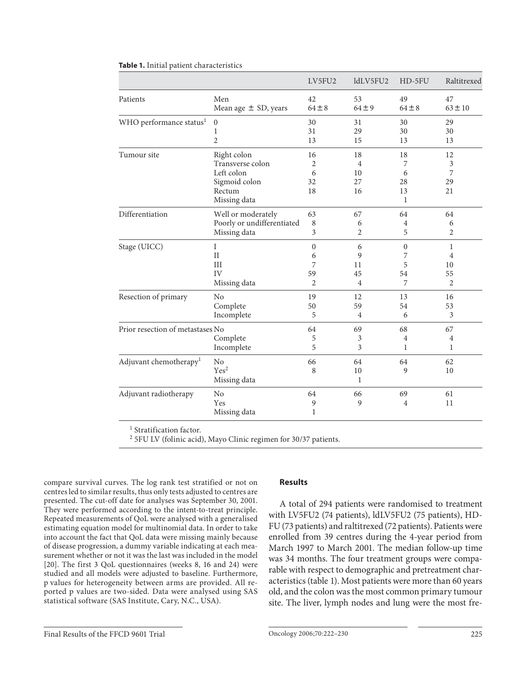|                                     |                                                                                          | LV5FU2                   | ldLV5FU2                               | HD-5FU                                   | Raltitrexed              |
|-------------------------------------|------------------------------------------------------------------------------------------|--------------------------|----------------------------------------|------------------------------------------|--------------------------|
| Patients                            | Men                                                                                      | 42                       | 53                                     | 49                                       | 47                       |
|                                     | Mean age $\pm$ SD, years                                                                 | $64 \pm 8$               | $64 \pm 9$                             | $64 \pm 8$                               | $63 \pm 10$              |
| WHO performance status <sup>1</sup> | $\boldsymbol{0}$                                                                         | 30                       | 31                                     | 30                                       | 29                       |
|                                     | 1                                                                                        | 31                       | 29                                     | 30                                       | 30                       |
|                                     | $\overline{2}$                                                                           | 13                       | 15                                     | 13                                       | 13                       |
| Tumour site                         | Right colon<br>Transverse colon<br>Left colon<br>Sigmoid colon<br>Rectum<br>Missing data | 16<br>2<br>6<br>32<br>18 | 18<br>$\overline{4}$<br>10<br>27<br>16 | 18<br>7<br>6<br>28<br>13<br>$\mathbf{1}$ | 12<br>3<br>7<br>29<br>21 |
| Differentiation                     | Well or moderately                                                                       | 63                       | 67                                     | 64                                       | 64                       |
|                                     | Poorly or undifferentiated                                                               | 8                        | 6                                      | 4                                        | 6                        |
|                                     | Missing data                                                                             | 3                        | 2                                      | 5                                        | 2                        |
| Stage (UICC)                        | I                                                                                        | $\theta$                 | 6                                      | $\Omega$                                 | $\mathbf{1}$             |
|                                     | $\rm II$                                                                                 | 6                        | 9                                      | 7                                        | 4                        |
|                                     | III                                                                                      | 7                        | 11                                     | 5                                        | 10                       |
|                                     | IV                                                                                       | 59                       | 45                                     | 54                                       | 55                       |
|                                     | Missing data                                                                             | $\overline{c}$           | $\overline{4}$                         | 7                                        | $\overline{2}$           |
| Resection of primary                | No                                                                                       | 19                       | 12                                     | 13                                       | 16                       |
|                                     | Complete                                                                                 | 50                       | 59                                     | 54                                       | 53                       |
|                                     | Incomplete                                                                               | 5                        | $\overline{4}$                         | 6                                        | 3                        |
| Prior resection of metastases No    | Complete<br>Incomplete                                                                   | 64<br>5<br>5             | 69<br>3<br>3                           | 68<br>$\overline{4}$<br>1                | 67<br>4<br>1             |
| Adjuvant chemotherapy <sup>1</sup>  | No<br>Yes <sup>2</sup><br>Missing data                                                   | 66<br>8                  | 64<br>10<br>1                          | 64<br>9                                  | 62<br>10                 |
| Adjuvant radiotherapy               | No<br>Yes<br>Missing data                                                                | 64<br>9<br>1             | 66<br>9                                | 69<br>$\overline{4}$                     | 61<br>11                 |

## **Table 1.** Initial patient characteristics

<sup>1</sup> Stratification factor.

2 5FU LV (folinic acid), Mayo Clinic regimen for 30/37 patients.

compare survival curves. The log rank test stratified or not on centres led to similar results, thus only tests adjusted to centres are presented. The cut-off date for analyses was September 30, 2001. They were performed according to the intent-to-treat principle. Repeated measurements of QoL were analysed with a generalised estimating equation model for multinomial data. In order to take into account the fact that QoL data were missing mainly because of disease progression, a dummy variable indicating at each measurement whether or not it was the last was included in the model [20]. The first 3 QoL questionnaires (weeks 8, 16 and 24) were studied and all models were adjusted to baseline. Furthermore, p values for heterogeneity between arms are provided. All reported p values are two-sided. Data were analysed using SAS statistical software (SAS Institute, Cary, N.C., USA).

## **Results**

 A total of 294 patients were randomised to treatment with LV5FU2 (74 patients), ldLV5FU2 (75 patients), HD-FU (73 patients) and raltitrexed (72 patients). Patients were enrolled from 39 centres during the 4-year period from March 1997 to March 2001. The median follow-up time was 34 months. The four treatment groups were comparable with respect to demographic and pretreatment characteristics (table 1). Most patients were more than 60 years old, and the colon was the most common primary tumour site. The liver, lymph nodes and lung were the most fre-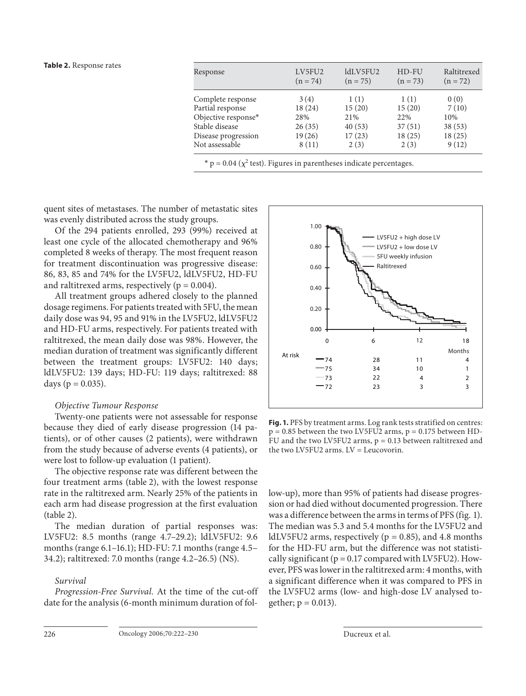#### **Table 2.** Response rates

| Response            | LV5FU2<br>$(n = 74)$ | ldLV5FU2<br>$(n = 75)$ | HD-FU<br>$(n = 73)$ | Raltitrexed<br>$(n = 72)$ |
|---------------------|----------------------|------------------------|---------------------|---------------------------|
| Complete response   | 3(4)                 | 1(1)                   | 1(1)                | 0(0)                      |
| Partial response    | 18(24)               | 15(20)                 | 15(20)              | 7(10)                     |
| Objective response* | 28%                  | 21%                    | 22%                 | 10%                       |
| Stable disease      | 26(35)               | 40(53)                 | 37(51)              | 38(53)                    |
| Disease progression | 19(26)               | 17(23)                 | 18(25)              | 18(25)                    |
| Not assessable      | 8(11)                | 2(3)                   | 2(3)                | 9(12)                     |

quent sites of metastases. The number of metastatic sites was evenly distributed across the study groups.

 Of the 294 patients enrolled, 293 (99%) received at least one cycle of the allocated chemotherapy and 96% completed 8 weeks of therapy. The most frequent reason for treatment discontinuation was progressive disease: 86, 83, 85 and 74% for the LV5FU2, ldLV5FU2, HD-FU and raltitrexed arms, respectively ( $p = 0.004$ ).

 All treatment groups adhered closely to the planned dosage regimens. For patients treated with 5FU, the mean daily dose was 94, 95 and 91% in the LV5FU2, ldLV5FU2 and HD-FU arms, respectively. For patients treated with raltitrexed, the mean daily dose was 98%. However, the median duration of treatment was significantly different between the treatment groups: LV5FU2: 140 days; ldLV5FU2: 139 days; HD-FU: 119 days; raltitrexed: 88 days ( $p = 0.035$ ).

## *Objective Tumour Response*

 Twenty-one patients were not assessable for response because they died of early disease progression (14 patients), or of other causes (2 patients), were withdrawn from the study because of adverse events (4 patients), or were lost to follow-up evaluation (1 patient).

 The objective response rate was different between the four treatment arms (table 2), with the lowest response rate in the raltitrexed arm. Nearly 25% of the patients in each arm had disease progression at the first evaluation  $(table 2)$ .

 The median duration of partial responses was: LV5FU2: 8.5 months (range 4.7–29.2); ldLV5FU2: 9.6 months (range 6.1–16.1); HD-FU: 7.1 months (range 4.5– 34.2); raltitrexed: 7.0 months (range 4.2–26.5) (NS).

## *Survival*

 *Progression-Free Survival.* At the time of the cut-off date for the analysis (6-month minimum duration of fol-



 **Fig. 1.** PFS by treatment arms. Log rank tests stratified on centres:  $p = 0.85$  between the two LV5FU2 arms,  $p = 0.175$  between HD-FU and the two LV5FU2 arms,  $p = 0.13$  between raltitrexed and the two LV5FU2 arms. LV = Leucovorin.

low-up), more than 95% of patients had disease progression or had died without documented progression. There was a difference between the arms in terms of PFS (fig. 1). The median was 5.3 and 5.4 months for the LV5FU2 and ldLV5FU2 arms, respectively ( $p = 0.85$ ), and 4.8 months for the HD-FU arm, but the difference was not statistically significant ( $p = 0.17$  compared with LV5FU2). However, PFS was lower in the raltitrexed arm: 4 months, with a significant difference when it was compared to PFS in the LV5FU2 arms (low- and high-dose LV analysed together;  $p = 0.013$ ).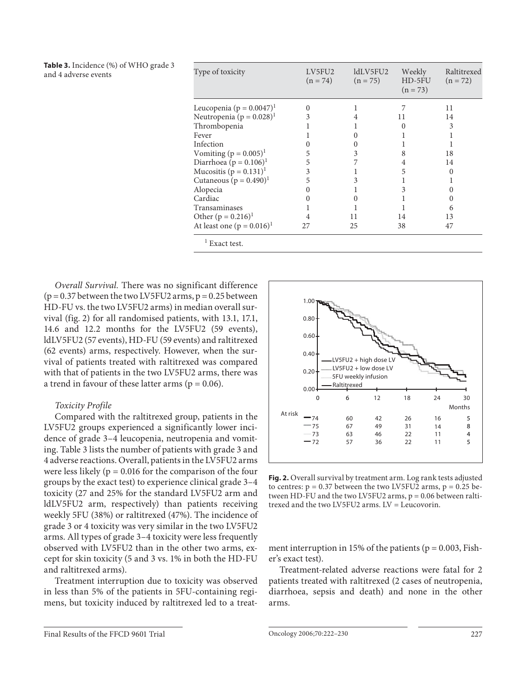**Table 3.** Incidence (%) of WHO grade 3 and 4 adverse events

| Type of toxicity                         | LV5FU2<br>$(n = 74)$ | ldLV5FU2<br>$(n = 75)$ | Weekly<br>HD-5FU<br>$(n = 73)$ | Raltitrexed<br>$(n = 72)$ |
|------------------------------------------|----------------------|------------------------|--------------------------------|---------------------------|
| Leucopenia ( $p = 0.0047$ ) <sup>1</sup> | 0                    |                        |                                | 11                        |
| Neutropenia ( $p = 0.028$ ) <sup>1</sup> | 3                    |                        | 11                             | 14                        |
| Thrombopenia                             |                      |                        |                                | 3                         |
| Fever                                    |                      |                        |                                |                           |
| Infection                                |                      |                        |                                |                           |
| Vomiting $(p = 0.005)^{1}$               | 5                    | 3                      | 8                              | 18                        |
| Diarrhoea ( $p = 0.106$ ) <sup>1</sup>   | 5                    |                        | 4                              | 14                        |
| Mucositis $(p = 0.131)^1$                | 3                    |                        | 5                              |                           |
| Cutaneous ( $p = 0.490$ ) <sup>1</sup>   | 5                    |                        |                                |                           |
| Alopecia                                 |                      |                        |                                |                           |
| Cardiac                                  |                      |                        |                                |                           |
| Transaminases                            |                      |                        |                                | 6                         |
| Other $(p = 0.216)^1$                    |                      | 11                     | 14                             | 13                        |
| At least one $(p = 0.016)^1$             | 27                   | 25                     | 38                             | 47                        |
| Exact test.                              |                      |                        |                                |                           |

 *Overall Survival.* There was no significant difference  $(p = 0.37$  between the two LV5FU2 arms,  $p = 0.25$  between HD-FU vs. the two LV5FU2 arms) in median overall survival (fig. 2) for all randomised patients, with 13.1, 17.1, 14.6 and 12.2 months for the LV5FU2 (59 events), ldLV5FU2 (57 events), HD-FU (59 events) and raltitrexed (62 events) arms, respectively. However, when the survival of patients treated with raltitrexed was compared with that of patients in the two LV5FU2 arms, there was a trend in favour of these latter arms ( $p = 0.06$ ).

## *Toxicity Profile*

 Compared with the raltitrexed group, patients in the LV5FU2 groups experienced a significantly lower incidence of grade 3–4 leucopenia, neutropenia and vomiting. Table 3 lists the number of patients with grade 3 and 4 adverse reactions. Overall, patients in the LV5FU2 arms were less likely ( $p = 0.016$  for the comparison of the four groups by the exact test) to experience clinical grade 3–4 toxicity (27 and 25% for the standard LV5FU2 arm and ldLV5FU2 arm, respectively) than patients receiving weekly 5FU (38%) or raltitrexed (47%). The incidence of grade 3 or 4 toxicity was very similar in the two LV5FU2 arms. All types of grade 3–4 toxicity were less frequently observed with LV5FU2 than in the other two arms, except for skin toxicity (5 and 3 vs. 1% in both the HD-FU and raltitrexed arms).

 Treatment interruption due to toxicity was observed in less than 5% of the patients in 5FU-containing regimens, but toxicity induced by raltitrexed led to a treat-



 **Fig. 2.** Overall survival by treatment arm. Log rank tests adjusted to centres:  $p = 0.37$  between the two LV5FU2 arms,  $p = 0.25$  between HD-FU and the two LV5FU2 arms,  $p = 0.06$  between raltitrexed and the two LV5FU2 arms. LV = Leucovorin.

ment interruption in 15% of the patients ( $p = 0.003$ , Fisher's exact test).

 Treatment-related adverse reactions were fatal for 2 patients treated with raltitrexed (2 cases of neutropenia, diarrhoea, sepsis and death) and none in the other arms.

Final Results of the FFCD 9601 Trial Oncology 2006;70:222–230 227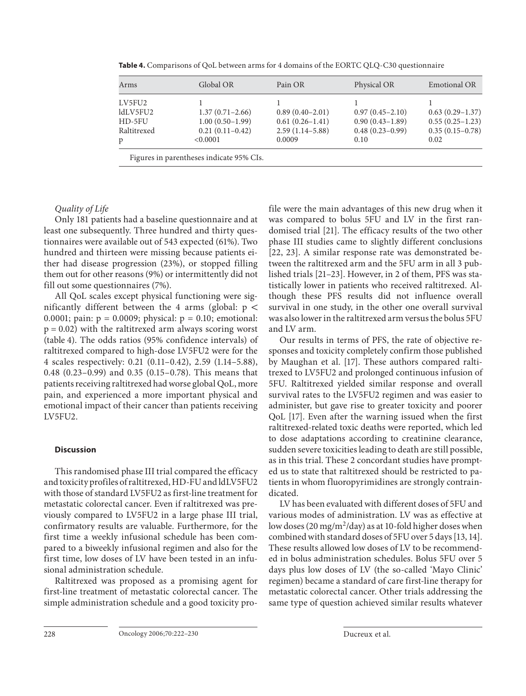| Arms        | Global OR                                | Pain OR             | Physical OR         | <b>Emotional OR</b> |
|-------------|------------------------------------------|---------------------|---------------------|---------------------|
| LV5FU2      |                                          |                     |                     |                     |
| ldLV5FU2    | $1.37(0.71 - 2.66)$                      | $0.89(0.40-2.01)$   | $0.97(0.45 - 2.10)$ | $0.63(0.29-1.37)$   |
| HD-5FU      | $1.00(0.50-1.99)$                        | $0.61(0.26 - 1.41)$ | $0.90(0.43 - 1.89)$ | $0.55(0.25-1.23)$   |
| Raltitrexed | $0.21(0.11-0.42)$                        | $2.59(1.14-5.88)$   | $0.48(0.23-0.99)$   | $0.35(0.15-0.78)$   |
| p           | < 0.0001                                 | 0.0009              | 0.10                | 0.02                |
|             | Figures in parentheses indicate 95% CIs. |                     |                     |                     |

 **Table 4.** Comparisons of QoL between arms for 4 domains of the EORTC QLQ-C30 questionnaire

## *Quality of Life*

 Only 181 patients had a baseline questionnaire and at least one subsequently. Three hundred and thirty questionnaires were available out of 543 expected (61%). Two hundred and thirteen were missing because patients either had disease progression (23%), or stopped filling them out for other reasons (9%) or intermittently did not fill out some questionnaires (7%).

 All QoL scales except physical functioning were significantly different between the 4 arms (global:  $p <$ 0.0001; pain:  $p = 0.0009$ ; physical:  $p = 0.10$ ; emotional:  $p = 0.02$ ) with the raltitrexed arm always scoring worst (table 4). The odds ratios (95% confidence intervals) of raltitrexed compared to high-dose LV5FU2 were for the 4 scales respectively: 0.21 (0.11–0.42), 2.59 (1.14–5.88), 0.48 (0.23–0.99) and 0.35 (0.15–0.78). This means that patients receiving raltitrexed had worse global QoL, more pain, and experienced a more important physical and emotional impact of their cancer than patients receiving LV5FU2.

## **Discussion**

 This randomised phase III trial compared the efficacy and toxicity profiles of raltitrexed, HD-FU and ldLV5FU2 with those of standard LV5FU2 as first-line treatment for metastatic colorectal cancer. Even if raltitrexed was previously compared to LV5FU2 in a large phase III trial, confirmatory results are valuable. Furthermore, for the first time a weekly infusional schedule has been compared to a biweekly infusional regimen and also for the first time, low doses of LV have been tested in an infusional administration schedule.

 Raltitrexed was proposed as a promising agent for first-line treatment of metastatic colorectal cancer. The simple administration schedule and a good toxicity profile were the main advantages of this new drug when it was compared to bolus 5FU and LV in the first randomised trial [21]. The efficacy results of the two other phase III studies came to slightly different conclusions [22, 23]. A similar response rate was demonstrated between the raltitrexed arm and the 5FU arm in all 3 published trials [21-23]. However, in 2 of them, PFS was statistically lower in patients who received raltitrexed. Although these PFS results did not influence overall survival in one study, in the other one overall survival was also lower in the raltitrexed arm versus the bolus 5FU and LV arm.

 Our results in terms of PFS, the rate of objective responses and toxicity completely confirm those published by Maughan et al. [17]. These authors compared raltitrexed to LV5FU2 and prolonged continuous infusion of 5FU. Raltitrexed yielded similar response and overall survival rates to the LV5FU2 regimen and was easier to administer, but gave rise to greater toxicity and poorer QoL [17]. Even after the warning issued when the first raltitrexed-related toxic deaths were reported, which led to dose adaptations according to creatinine clearance, sudden severe toxicities leading to death are still possible, as in this trial. These 2 concordant studies have prompted us to state that raltitrexed should be restricted to patients in whom fluoropyrimidines are strongly contraindicated.

 LV has been evaluated with different doses of 5FU and various modes of administration. LV was as effective at low doses (20 mg/m<sup>2</sup>/day) as at 10-fold higher doses when combined with standard doses of 5FU over 5 days [13, 14] . These results allowed low doses of LV to be recommended in bolus administration schedules. Bolus 5FU over 5 days plus low doses of LV (the so-called 'Mayo Clinic' regimen) became a standard of care first-line therapy for metastatic colorectal cancer. Other trials addressing the same type of question achieved similar results whatever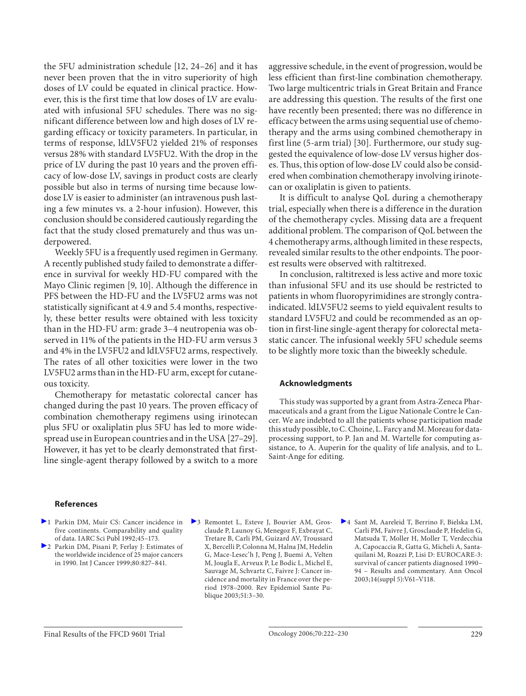the 5FU administration schedule [12, 24–26] and it has never been proven that the in vitro superiority of high doses of LV could be equated in clinical practice. However, this is the first time that low doses of LV are evaluated with infusional 5FU schedules. There was no significant difference between low and high doses of LV regarding efficacy or toxicity parameters. In particular, in terms of response, ldLV5FU2 yielded 21% of responses versus 28% with standard LV5FU2. With the drop in the price of LV during the past 10 years and the proven efficacy of low-dose LV, savings in product costs are clearly possible but also in terms of nursing time because lowdose LV is easier to administer (an intravenous push lasting a few minutes vs. a 2-hour infusion). However, this conclusion should be considered cautiously regarding the fact that the study closed prematurely and thus was underpowered.

 Weekly 5FU is a frequently used regimen in Germany. A recently published study failed to demonstrate a difference in survival for weekly HD-FU compared with the Mayo Clinic regimen [9, 10]. Although the difference in PFS between the HD-FU and the LV5FU2 arms was not statistically significant at 4.9 and 5.4 months, respectively, these better results were obtained with less toxicity than in the HD-FU arm: grade 3–4 neutropenia was observed in 11% of the patients in the HD-FU arm versus 3 and 4% in the LV5FU2 and ldLV5FU2 arms, respectively. The rates of all other toxicities were lower in the two LV5FU2 arms than in the HD-FU arm, except for cutaneous toxicity.

 Chemotherapy for metastatic colorectal cancer has changed during the past 10 years. The proven efficacy of combination chemotherapy regimens using irinotecan plus 5FU or oxaliplatin plus 5FU has led to more widespread use in European countries and in the USA [27–29] . However, it has yet to be clearly demonstrated that firstline single-agent therapy followed by a switch to a more

aggressive schedule, in the event of progression, would be less efficient than first-line combination chemotherapy. Two large multicentric trials in Great Britain and France are addressing this question. The results of the first one have recently been presented; there was no difference in efficacy between the arms using sequential use of chemotherapy and the arms using combined chemotherapy in first line (5-arm trial) [30]. Furthermore, our study suggested the equivalence of low-dose LV versus higher doses. Thus, this option of low-dose LV could also be considered when combination chemotherapy involving irinotecan or oxaliplatin is given to patients.

 It is difficult to analyse QoL during a chemotherapy trial, especially when there is a difference in the duration of the chemotherapy cycles. Missing data are a frequent additional problem. The comparison of QoL between the 4 chemotherapy arms, although limited in these respects, revealed similar results to the other endpoints. The poorest results were observed with raltitrexed.

 In conclusion, raltitrexed is less active and more toxic than infusional 5FU and its use should be restricted to patients in whom fluoropyrimidines are strongly contraindicated. ldLV5FU2 seems to yield equivalent results to standard LV5FU2 and could be recommended as an option in first-line single-agent therapy for colorectal metastatic cancer. The infusional weekly 5FU schedule seems to be slightly more toxic than the biweekly schedule.

## **Acknowledgments**

 This study was supported by a grant from Astra-Zeneca Pharmaceuticals and a grant from the Ligue Nationale Contre le Cancer. We are indebted to all the patients whose participation made this study possible, to C. Choine, L. Farcy and M. Moreau for dataprocessing support, to P. Jan and M. Wartelle for computing assistance, to A. Auperin for the quality of life analysis, and to L. Saint-Ange for editing.

#### **References**

- 1 Parkin DM, Muir CS: Cancer incidence in five continents. Comparability and quality of data. IARC Sci Publ 1992; 45–173.
- 2 Parkin DM, Pisani P, Ferlay J: Estimates of the worldwide incidence of 25 major cancers in 1990. Int J Cancer 1999; 80: 827–841.
- 3 Remontet L, Esteve J, Bouvier AM, Grosclaude P, Launoy G, Menegoz F, Exbrayat C, Tretare B, Carli PM, Guizard AV, Troussard X, Bercelli P, Colonna M, Halna JM, Hedelin G, Mace-Lesec'h J, Peng J, Buemi A, Velten M, Jougla E, Arveux P, Le Bodic L, Michel E, Sauvage M, Schvartz C, Faivre J: Cancer incidence and mortality in France over the period 1978–2000. Rev Epidemiol Sante Publique 2003;51:3-30.
- 4 Sant M, Aareleid T, Berrino F, Bielska LM, Carli PM, Faivre J, Grosclaude P, Hedelin G, Matsuda T, Moller H, Moller T, Verdecchia A, Capocaccia R, Gatta G, Micheli A, Santaquilani M, Roazzi P, Lisi D: EUROCARE-3: survival of cancer patients diagnosed 1990– 94 – Results and commentary. Ann Oncol 2003; 14(suppl 5):V61–V118.